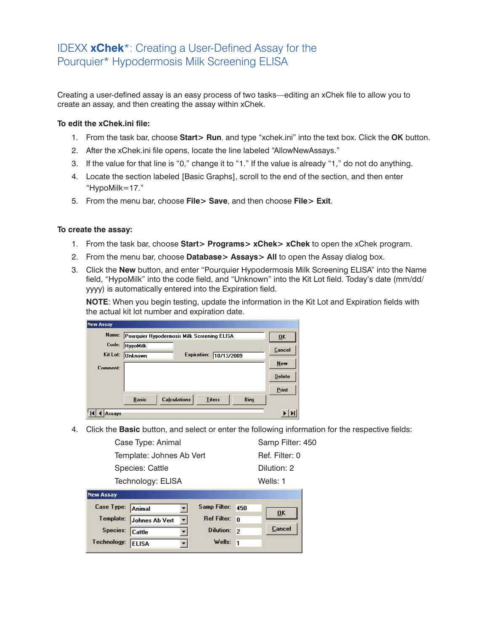## IDEXX **xChek**\*: Creating a User-Defined Assay for the Pourquier\* Hypodermosis Milk Screening ELISA

Creating a user-defined assay is an easy process of two tasks—editing an xChek file to allow you to create an assay, and then creating the assay within xChek.

## **To edit the xChek.ini file:**

- 1. From the task bar, choose **Start> Run**, and type "xchek.ini" into the text box. Click the **OK** button.
- 2. After the xChek.ini file opens, locate the line labeled "AllowNewAssays."
- 3. If the value for that line is "0," change it to "1." If the value is already "1," do not do anything.
- 4. Locate the section labeled [Basic Graphs], scroll to the end of the section, and then enter "HypoMilk=17."
- 5. From the menu bar, choose **File> Save**, and then choose **File> Exit**.

## **To create the assay:**

- 1. From the task bar, choose **Start> Programs> xChek> xChek** to open the xChek program.
- 2. From the menu bar, choose **Database> Assays> All** to open the Assay dialog box.
- 3. Click the **New** button, and enter "Pourquier Hypodermosis Milk Screening ELISA" into the Name field, "HypoMilk" into the code field, and "Unknown" into the Kit Lot field. Today's date (mm/dd/ yyyy) is automatically entered into the Expiration field.

**NOTE**: When you begin testing, update the information in the Kit Lot and Expiration fields with the actual kit lot number and expiration date.

| Name:                       |                 | Pourquier Hypodermosis Milk Screening ELISA |                    |             | $\overline{0}$ K |
|-----------------------------|-----------------|---------------------------------------------|--------------------|-------------|------------------|
| Code:                       | <b>HypoMilk</b> |                                             |                    |             | Cancel           |
| Kit Lot:<br><b>Comment:</b> | <b>Unknown</b>  |                                             | <b>Expiration:</b> | 10/13/2009  | New              |
|                             |                 |                                             |                    |             | <b>Delete</b>    |
|                             |                 |                                             |                    |             | Print            |
|                             | <b>Basic</b>    | <b>Calculations</b>                         | <b>Titers</b>      | <b>Bins</b> |                  |

4. Click the **Basic** button, and select or enter the following information for the respective fields:

| Assay |                          |                  |  |
|-------|--------------------------|------------------|--|
|       | Technology: ELISA        | Wells: 1         |  |
|       | Species: Cattle          | Dilution: 2      |  |
|       | Template: Johnes Ab Vert | Ref. Filter: 0   |  |
|       | Case Type: Animal        | Samp Filter: 450 |  |
|       |                          |                  |  |

| Case Type: Animal |                          |              | Samp Filter: 450 |        |
|-------------------|--------------------------|--------------|------------------|--------|
|                   | Template: Johnes Ab Vert | $\mathbf{r}$ | Ref Filter: n    | 0K     |
| Species: Cattle   |                          |              | Dilution: 2      | Cancel |
| Technology:       | <b>ELISA</b>             |              | Wells: $1$       |        |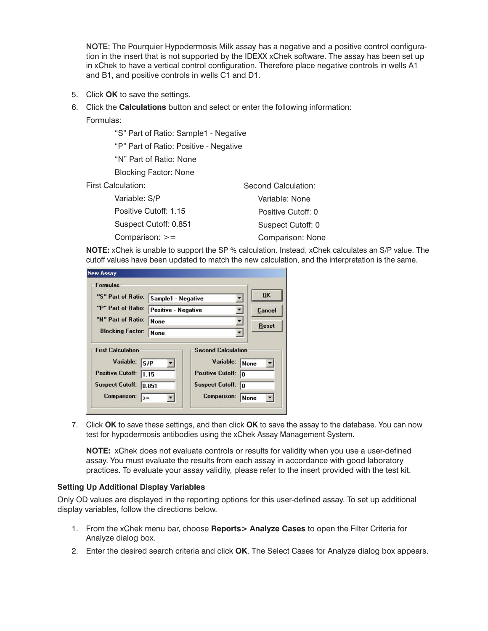NOTE: The Pourquier Hypodermosis Milk assay has a negative and a positive control configuration in the insert that is not supported by the IDEXX xChek software. The assay has been set up in xChek to have a vertical control configuration. Therefore place negative controls in wells A1 and B1, and positive controls in wells C1 and D1.

- 5. Click **OK** to save the settings.
- 6. Click the **Calculations** button and select or enter the following information:

Formulas:

"S" Part of Ratio: Sample1 - Negative

"P" Part of Ratio: Positive - Negative

"N" Part of Ratio: None

Blocking Factor: None

First Calculation:

| Variable: S/P         | Variable: None     |
|-----------------------|--------------------|
| Positive Cutoff: 1.15 | Positive Cutoff: 0 |
| Suspect Cutoff: 0.851 | Suspect Cutoff: 0  |
| Comparison: $>=$      | Comparison: None   |
|                       |                    |

**NOTE:** xChek is unable to support the SP % calculation. Instead, xChek calculates an S/P value. The cutoff values have been updated to match the new calculation, and the interpretation is the same.

Second Calculation:

| <b>Formulas</b>                                                         |                                                                                |                                                                                                   |              |
|-------------------------------------------------------------------------|--------------------------------------------------------------------------------|---------------------------------------------------------------------------------------------------|--------------|
|                                                                         |                                                                                |                                                                                                   |              |
| "S" Part of Ratio:                                                      | Sample1 - Negative<br><b>Positive - Negative</b><br><b>None</b><br><b>None</b> |                                                                                                   | OK           |
| "P" Part of Ratio:                                                      |                                                                                |                                                                                                   | Cancel       |
| "N" Part of Ratio:                                                      |                                                                                |                                                                                                   | <b>Reset</b> |
| <b>Blocking Factor:</b>                                                 |                                                                                |                                                                                                   |              |
| <b>First Calculation</b><br>Variable:<br> S/P <br>Positive Cutoff: 1.15 | Suspect Cutoff: 0.851                                                          | <b>Second Calculation</b><br>Variable:<br><b>Positive Cutoff:</b><br>In<br><b>Suspect Cutoff:</b> | <b>None</b>  |

7. Click **OK** to save these settings, and then click **OK** to save the assay to the database. You can now test for hypodermosis antibodies using the xChek Assay Management System.

**NOTE:** xChek does not evaluate controls or results for validity when you use a user-defined assay. You must evaluate the results from each assay in accordance with good laboratory practices. To evaluate your assay validity, please refer to the insert provided with the test kit.

## **Setting Up Additional Display Variables**

Only OD values are displayed in the reporting options for this user-defined assay. To set up additional display variables, follow the directions below.

- 1. From the xChek menu bar, choose **Reports> Analyze Cases** to open the Filter Criteria for Analyze dialog box.
- 2. Enter the desired search criteria and click **OK**. The Select Cases for Analyze dialog box appears.